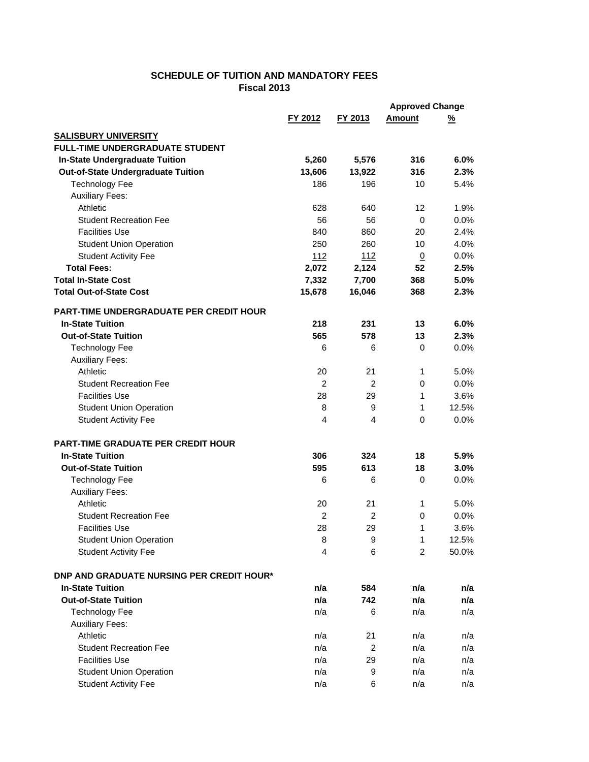## **SCHEDULE OF TUITION AND MANDATORY FEES Fiscal 2013**

|                                                        |                      |                | <b>Approved Change</b> |               |
|--------------------------------------------------------|----------------------|----------------|------------------------|---------------|
|                                                        | FY 2012              | FY 2013        | <b>Amount</b>          | <u>%</u>      |
| <b>SALISBURY UNIVERSITY</b>                            |                      |                |                        |               |
| <b>FULL-TIME UNDERGRADUATE STUDENT</b>                 |                      |                |                        |               |
| <b>In-State Undergraduate Tuition</b>                  | 5,260                | 5,576          | 316                    | 6.0%          |
| <b>Out-of-State Undergraduate Tuition</b>              | 13,606               | 13,922         | 316                    | 2.3%          |
| <b>Technology Fee</b>                                  | 186                  | 196            | 10                     | 5.4%          |
| <b>Auxiliary Fees:</b>                                 |                      |                |                        |               |
| Athletic                                               | 628                  | 640            | 12                     | 1.9%          |
| <b>Student Recreation Fee</b>                          | 56                   | 56             | 0                      | 0.0%          |
| <b>Facilities Use</b>                                  | 840                  | 860            | 20                     | 2.4%          |
| <b>Student Union Operation</b>                         | 250                  | 260            | 10                     | 4.0%          |
| <b>Student Activity Fee</b>                            | 112                  | 112            | $\underline{0}$        | 0.0%          |
| <b>Total Fees:</b>                                     | 2,072                | 2,124          | 52                     | 2.5%          |
| <b>Total In-State Cost</b>                             | 7,332                | 7,700          | 368                    | 5.0%          |
| <b>Total Out-of-State Cost</b>                         | 15,678               | 16,046         | 368                    | 2.3%          |
|                                                        |                      |                |                        |               |
| <b>PART-TIME UNDERGRADUATE PER CREDIT HOUR</b>         |                      |                |                        |               |
| <b>In-State Tuition</b><br><b>Out-of-State Tuition</b> | 218                  | 231            | 13                     | 6.0%          |
|                                                        | 565                  | 578            | 13                     | 2.3%          |
| <b>Technology Fee</b>                                  | 6                    | 6              | 0                      | 0.0%          |
| <b>Auxiliary Fees:</b><br>Athletic                     |                      |                |                        | 5.0%          |
| <b>Student Recreation Fee</b>                          | 20<br>$\overline{2}$ | 21<br>2        | 1<br>0                 | 0.0%          |
|                                                        |                      |                |                        |               |
| <b>Facilities Use</b>                                  | 28                   | 29             | 1<br>1                 | 3.6%<br>12.5% |
| <b>Student Union Operation</b>                         | 8<br>4               | 9<br>4         | 0                      | 0.0%          |
| <b>Student Activity Fee</b>                            |                      |                |                        |               |
| <b>PART-TIME GRADUATE PER CREDIT HOUR</b>              |                      |                |                        |               |
| <b>In-State Tuition</b>                                | 306                  | 324            | 18                     | 5.9%          |
| <b>Out-of-State Tuition</b>                            | 595                  | 613            | 18                     | 3.0%          |
| <b>Technology Fee</b>                                  | 6                    | 6              | 0                      | $0.0\%$       |
| <b>Auxiliary Fees:</b>                                 |                      |                |                        |               |
| Athletic                                               | 20                   | 21             | 1                      | 5.0%          |
| <b>Student Recreation Fee</b>                          | 2                    | 2              | 0                      | 0.0%          |
| Facilities Use                                         | 28                   | 29             | 1                      | 3.6%          |
| <b>Student Union Operation</b>                         | 8                    | 9              | 1                      | 12.5%         |
| <b>Student Activity Fee</b>                            | 4                    | 6              | $\overline{2}$         | 50.0%         |
|                                                        |                      |                |                        |               |
| <b>DNP AND GRADUATE NURSING PER CREDIT HOUR*</b>       |                      |                |                        |               |
| <b>In-State Tuition</b>                                | n/a                  | 584            | n/a                    | n/a           |
| <b>Out-of-State Tuition</b>                            | n/a                  | 742            | n/a                    | n/a           |
| <b>Technology Fee</b>                                  | n/a                  | 6              | n/a                    | n/a           |
| <b>Auxiliary Fees:</b>                                 |                      |                |                        |               |
| Athletic                                               | n/a                  | 21             | n/a                    | n/a           |
| <b>Student Recreation Fee</b>                          | n/a                  | $\overline{c}$ | n/a                    | n/a           |
| <b>Facilities Use</b>                                  | n/a                  | 29             | n/a                    | n/a           |
| <b>Student Union Operation</b>                         | n/a                  | 9              | n/a                    | n/a           |
| <b>Student Activity Fee</b>                            | n/a                  | 6              | n/a                    | n/a           |